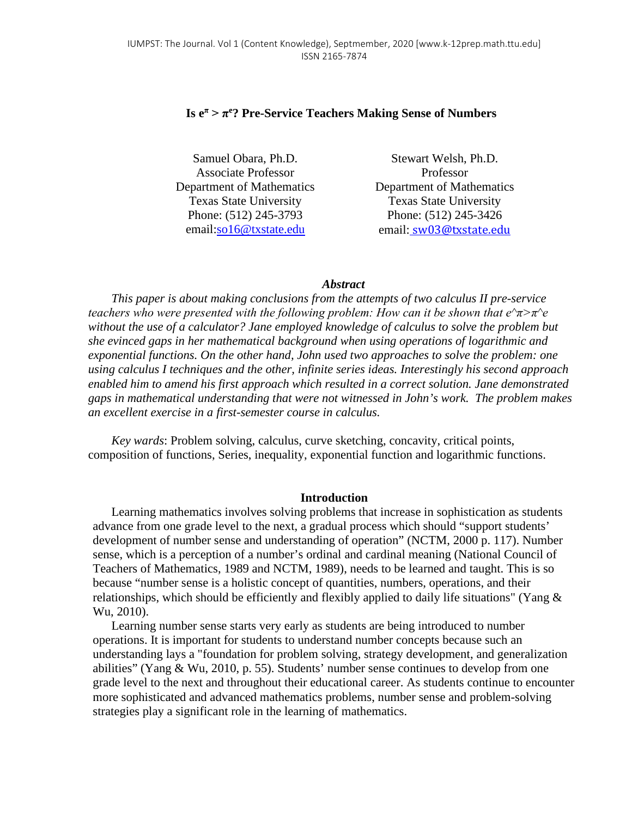# **Is e<sup>π</sup> > π<sup>e</sup> ? Pre-Service Teachers Making Sense of Numbers**

Samuel Obara, Ph.D. Associate Professor Department of Mathematics Texas State University Phone: (512) 245-3793 email[:so16@txstate.edu](https://bobcatmail.txstate.edu/owa/14.3.158.1/scripts/premium/UrlBlockedError.aspx)

Stewart Welsh, Ph.D. Professor Department of Mathematics Texas State University Phone: (512) 245-3426 email: [sw03@txstate.edu](mailto:sw03@txstate.edu)

### *Abstract*

*This paper is about making conclusions from the attempts of two calculus II pre-service teachers who were presented with the following problem: How can it be shown that*  $e^{\lambda} \pi$ *<sup>2</sup>*  $\pi$ *<sup>2</sup> without the use of a calculator? Jane employed knowledge of calculus to solve the problem but she evinced gaps in her mathematical background when using operations of logarithmic and exponential functions. On the other hand, John used two approaches to solve the problem: one using calculus I techniques and the other, infinite series ideas. Interestingly his second approach enabled him to amend his first approach which resulted in a correct solution. Jane demonstrated gaps in mathematical understanding that were not witnessed in John's work. The problem makes an excellent exercise in a first-semester course in calculus.* 

*Key wards*: Problem solving, calculus, curve sketching, concavity, critical points, composition of functions, Series, inequality, exponential function and logarithmic functions.

### **Introduction**

Learning mathematics involves solving problems that increase in sophistication as students advance from one grade level to the next, a gradual process which should "support students' development of number sense and understanding of operation" (NCTM, 2000 p. 117). Number sense, which is a perception of a number's ordinal and cardinal meaning (National Council of Teachers of Mathematics, 1989 and NCTM, 1989), needs to be learned and taught. This is so because "number sense is a holistic concept of quantities, numbers, operations, and their relationships, which should be efficiently and flexibly applied to daily life situations" (Yang  $\&$ Wu, 2010).

Learning number sense starts very early as students are being introduced to number operations. It is important for students to understand number concepts because such an understanding lays a "foundation for problem solving, strategy development, and generalization abilities" (Yang & Wu, 2010, p. 55). Students' number sense continues to develop from one grade level to the next and throughout their educational career. As students continue to encounter more sophisticated and advanced mathematics problems, number sense and problem-solving strategies play a significant role in the learning of mathematics.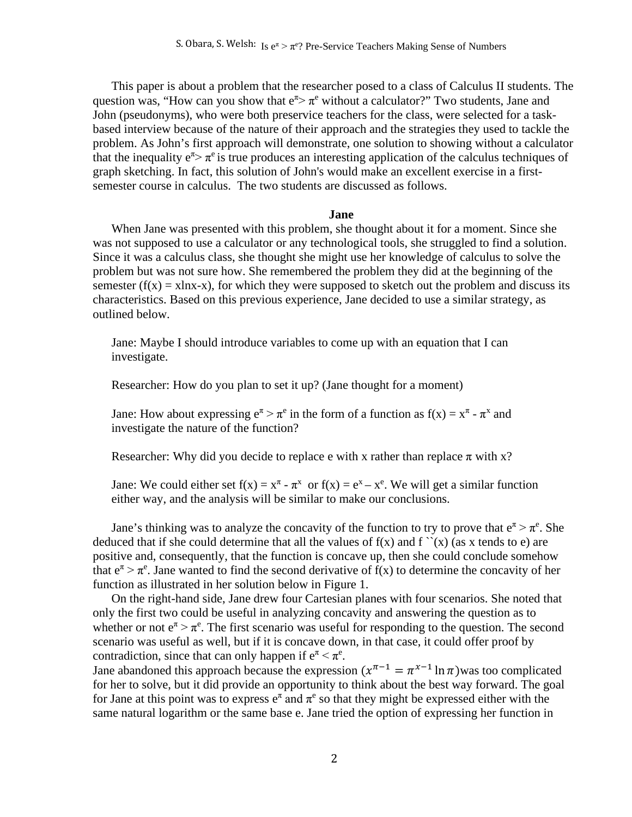This paper is about a problem that the researcher posed to a class of Calculus II students. The question was, "How can you show that  $e^{\pi}$   $\pi$ <sup>e</sup> without a calculator?" Two students, Jane and John (pseudonyms), who were both preservice teachers for the class, were selected for a taskbased interview because of the nature of their approach and the strategies they used to tackle the problem. As John's first approach will demonstrate, one solution to showing without a calculator that the inequality  $e^{\pi}$   $\pi$ <sup>e</sup> is true produces an interesting application of the calculus techniques of graph sketching. In fact, this solution of John's would make an excellent exercise in a firstsemester course in calculus. The two students are discussed as follows.

#### **Jane**

When Jane was presented with this problem, she thought about it for a moment. Since she was not supposed to use a calculator or any technological tools, she struggled to find a solution. Since it was a calculus class, she thought she might use her knowledge of calculus to solve the problem but was not sure how. She remembered the problem they did at the beginning of the semester  $(f(x) = xlnx-x)$ , for which they were supposed to sketch out the problem and discuss its characteristics. Based on this previous experience, Jane decided to use a similar strategy, as outlined below.

Jane: Maybe I should introduce variables to come up with an equation that I can investigate.

Researcher: How do you plan to set it up? (Jane thought for a moment)

Jane: How about expressing  $e^{\pi} > \pi^e$  in the form of a function as  $f(x) = x^{\pi} - \pi^x$  and investigate the nature of the function?

Researcher: Why did you decide to replace e with x rather than replace  $\pi$  with x?

Jane: We could either set  $f(x) = x^{\pi} - \pi^{x}$  or  $f(x) = e^{x} - x^{e}$ . We will get a similar function either way, and the analysis will be similar to make our conclusions.

Jane's thinking was to analyze the concavity of the function to try to prove that  $e^{\pi} > \pi^e$ . She deduced that if she could determine that all the values of  $f(x)$  and  $f'(x)$  (as x tends to e) are positive and, consequently, that the function is concave up, then she could conclude somehow that  $e^{\pi} > \pi^e$ . Jane wanted to find the second derivative of  $f(x)$  to determine the concavity of her function as illustrated in her solution below in Figure 1.

On the right-hand side, Jane drew four Cartesian planes with four scenarios. She noted that only the first two could be useful in analyzing concavity and answering the question as to whether or not  $e^{\pi} > \pi^e$ . The first scenario was useful for responding to the question. The second scenario was useful as well, but if it is concave down, in that case, it could offer proof by contradiction, since that can only happen if  $e^{\pi} < \pi^e$ .

Jane abandoned this approach because the expression  $(x^{\pi-1} = \pi^{x-1} \ln \pi)$  was too complicated for her to solve, but it did provide an opportunity to think about the best way forward. The goal for Jane at this point was to express  $e^{\pi}$  and  $\pi^{e}$  so that they might be expressed either with the same natural logarithm or the same base e. Jane tried the option of expressing her function in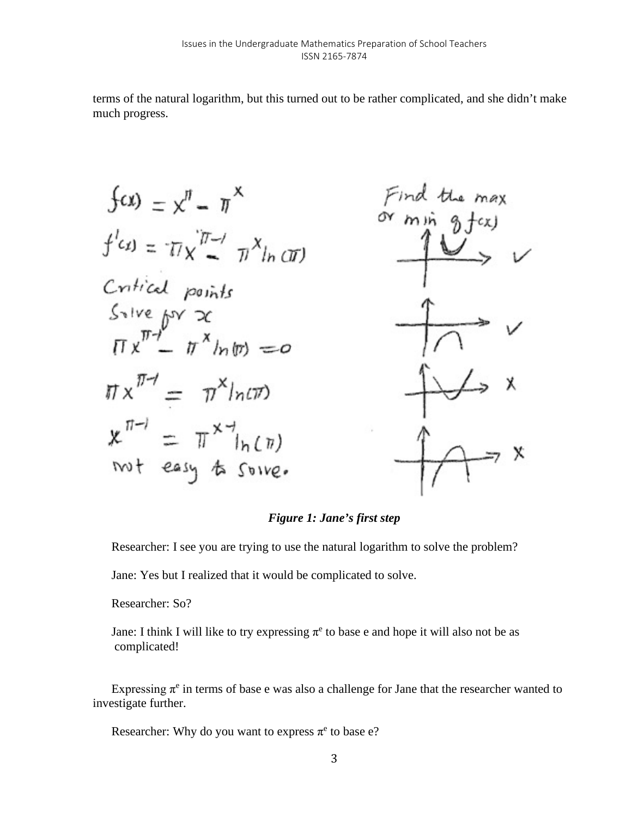terms of the natural logarithm, but this turned out to be rather complicated, and she didn't make much progress.

$$
\begin{aligned}\n\text{for } y = x^{\prime\prime} - \pi^{\times} & \text{Find the max} \\
\text{if } (x) = \pi x^{\prime\prime\prime} - \pi^{\times\prime\prime\prime} & \text{or min } 0 \text{ f(x)} \\
\text{Critical points} & \text{Solve } \text{for } x \\
\text{or } x^{\pi-1} - \pi^{\times\prime\prime\prime} & \text{or } x \\
\pi x^{\pi-1} - \pi^{\times\prime\prime\prime\prime} & \text{or } x\n\end{aligned}
$$
\n
$$
\begin{aligned}\n\text{or } x \\
\text{Solve} & \text{for } x \\
\pi x^{\pi-1} = \pi^{\times\prime\prime\prime\prime\prime} & \text{or } x\n\end{aligned}
$$
\n
$$
\begin{aligned}\n\text{or } x \\
\text{Solve} & \text{for } x \\
\pi x^{\pi-1} = \pi^{\times\prime\prime\prime\prime\prime} & \text{for } x\n\end{aligned}
$$

# *Figure 1: Jane's first step*

Researcher: I see you are trying to use the natural logarithm to solve the problem?

Jane: Yes but I realized that it would be complicated to solve.

Researcher: So?

Jane: I think I will like to try expressing  $\pi^e$  to base e and hope it will also not be as complicated!

Expressing  $\pi^e$  in terms of base e was also a challenge for Jane that the researcher wanted to investigate further.

Researcher: Why do you want to express  $\pi^e$  to base e?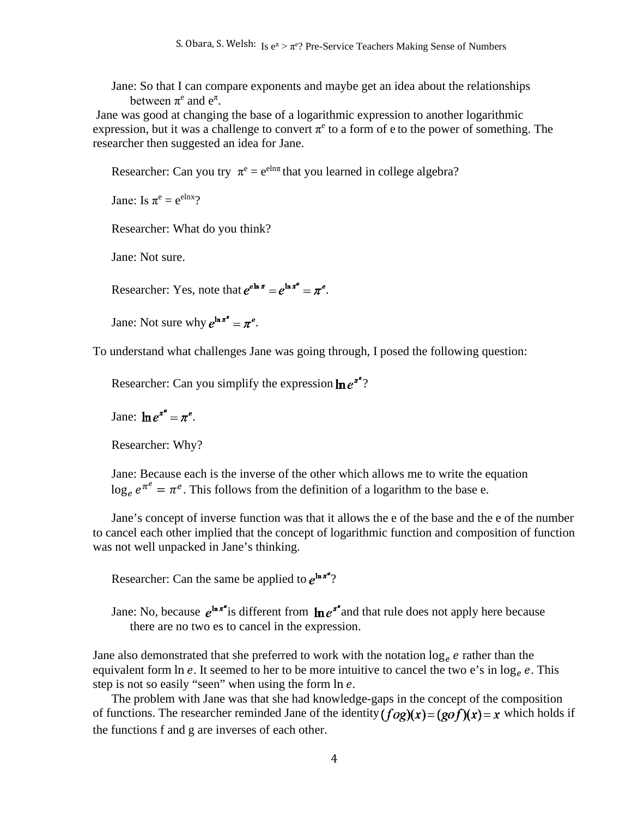Jane: So that I can compare exponents and maybe get an idea about the relationships between  $\pi^e$  and  $e^{\pi}$ .

Jane was good at changing the base of a logarithmic expression to another logarithmic expression, but it was a challenge to convert  $\pi^e$  to a form of e to the power of something. The researcher then suggested an idea for Jane.

Researcher: Can you try  $\pi^e = e^{eln\pi}$  that you learned in college algebra?

Jane: Is  $\pi^e = e^{elnx}$ ?

Researcher: What do you think?

Jane: Not sure.

Researcher: Yes, note that  $e^{e^{\ln x}} = e^{\ln x^e} = \pi^e$ .

Jane: Not sure why  $e^{\ln \pi^e} = \pi^e$ .

To understand what challenges Jane was going through, I posed the following question:

Researcher: Can you simplify the expression  $\ln e^{\pi^a}$ ?

Jane:  $\ln e^{\pi^e} = \pi^e$ .

Researcher: Why?

Jane: Because each is the inverse of the other which allows me to write the equation  $\log_e e^{\pi^e} = \pi^e$ . This follows from the definition of a logarithm to the base e.

Jane's concept of inverse function was that it allows the e of the base and the e of the number to cancel each other implied that the concept of logarithmic function and composition of function was not well unpacked in Jane's thinking.

Researcher: Can the same be applied to  $e^{\ln \pi^a}$ ?

Jane: No, because  $e^{\ln \pi^e}$  is different from  $\ln e^{\pi^e}$  and that rule does not apply here because there are no two es to cancel in the expression.

Jane also demonstrated that she preferred to work with the notation  $\log_e e$  rather than the equivalent form  $\ln e$ . It seemed to her to be more intuitive to cancel the two e's in  $\log_e e$ . This step is not so easily "seen" when using the form  $\ln e$ .

The problem with Jane was that she had knowledge-gaps in the concept of the composition of functions. The researcher reminded Jane of the identity  $(f \circ g)(x) = (g \circ f)(x) = x$  which holds if the functions f and g are inverses of each other.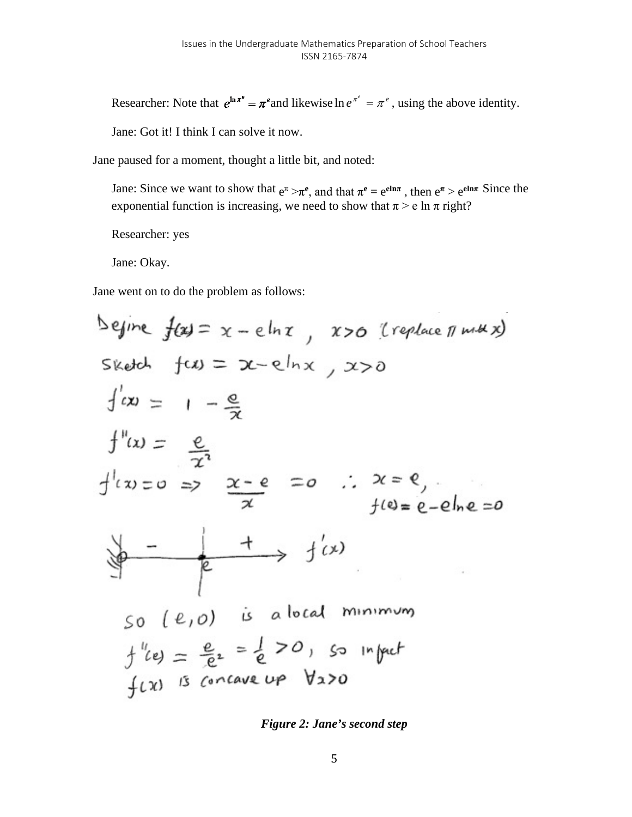Researcher: Note that  $e^{\ln \pi^e} = \pi^e$  and likewise  $\ln e^{\pi^e} = \pi^e$ , using the above identity.

Jane: Got it! I think I can solve it now.

Jane paused for a moment, thought a little bit, and noted:

Jane: Since we want to show that  $e^{\pi} > \pi^e$ , and that  $\pi^e = e^{e \ln \pi}$ , then  $e^{\pi} > e^{e \ln \pi}$  Since the exponential function is increasing, we need to show that  $\pi$  > e ln  $\pi$  right?

Researcher: yes

Jane: Okay.

Jane went on to do the problem as follows:

$$
\begin{aligned}\n\text{Define } f(x) &= x - e \ln x, \quad x &> 0 \quad (\text{replace } \pi \text{ m} \# x) \\
\text{Sketch } f(x) &= x - e \ln x, \quad x &> 0 \\
\int (x) &= 1 - \frac{e}{x} \\
\int^{\pi} (x) &= \frac{e}{x^2} \\
\int^{\pi} (x) &= 0 \Rightarrow \frac{x - e}{x} = 0 \quad \therefore \quad x = e, \\
\int^{x} f(x) &= 0 \Rightarrow \frac{x - e}{x} = 0 \quad \therefore \quad x = e, \\
\int^{x} f(x) &= 0 \Rightarrow \frac{1}{x} = \frac{1}{x} \quad \text{if } x & = 0\n\end{aligned}
$$
\n
$$
\begin{aligned}\n\text{SOLUTION: } f(x) &= \frac{e}{e^x} = \frac{1}{e} & \text{for } x & \text{for } x & \text{for } x \neq 0 \\
\int f(x) &= \frac{e}{e^x} = \frac{1}{e} & \text{for } x & \text{for } x & \text{for } x & \text{for } x & \text{for } x & \text{for } x & \text{for } x & \text{for } x & \text{for } x & \text{for } x & \text{for } x & \text{for } x & \text{for } x & \text{for } x & \text{for } x & \text{for } x & \text{for } x & \text{for } x & \text{for } x & \text{for } x & \text{for } x & \text{for } x & \text{for } x & \text{for } x & \text{for } x & \text{for } x & \text{for } x & \text{for } x & \text{for } x & \text{for } x & \text{for } x & \text{for } x & \text{for } x & \text{for } x & \text{for } x & \text{for } x & \text{for } x & \text{for } x & \text{for } x & \text{for } x & \text{for } x & \text{for } x & \text{for } x & \text{for } x &
$$

*Figure 2: Jane's second step*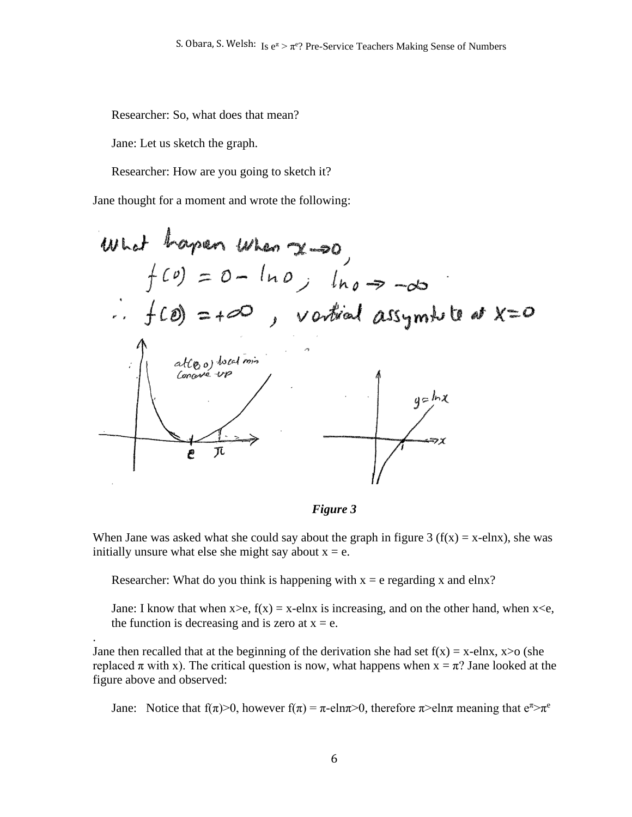Researcher: So, what does that mean?

Jane: Let us sketch the graph.

.

Researcher: How are you going to sketch it?

Jane thought for a moment and wrote the following:

What happen When 
$$
x \rightarrow 0
$$

\n
$$
f(0) = 0 - \ln 0, \quad \ln 0 \Rightarrow -\infty
$$
\n
$$
\therefore f(0) = +\infty, \quad \text{Vertical asymptotic at } x = 0
$$
\natte, a)  $\text{total min}$ 

\nConorder up

\n
$$
e^{-\pi}
$$

*Figure 3*

When Jane was asked what she could say about the graph in figure 3 ( $f(x) = x$ -elnx), she was initially unsure what else she might say about  $x = e$ .

Researcher: What do you think is happening with  $x = e$  regarding x and elnx?

Jane: I know that when  $x > e$ ,  $f(x) = x$ -elnx is increasing, and on the other hand, when  $x < e$ , the function is decreasing and is zero at  $x = e$ .

Jane then recalled that at the beginning of the derivation she had set  $f(x) = x$ -elnx,  $x > o$  (she replaced  $\pi$  with x). The critical question is now, what happens when  $x = \pi$ ? Jane looked at the figure above and observed:

Jane: Notice that  $f(\pi) > 0$ , however  $f(\pi) = \pi$ -eln $\pi > 0$ , therefore  $\pi >$ eln $\pi$  meaning that  $e^{\pi} > \pi^e$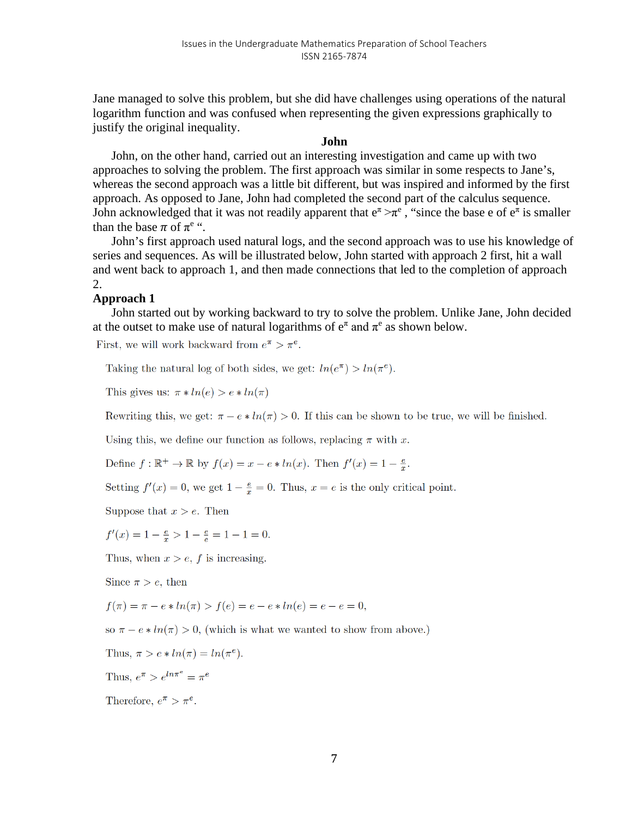Jane managed to solve this problem, but she did have challenges using operations of the natural logarithm function and was confused when representing the given expressions graphically to justify the original inequality.

### **John**

John, on the other hand, carried out an interesting investigation and came up with two approaches to solving the problem. The first approach was similar in some respects to Jane's, whereas the second approach was a little bit different, but was inspired and informed by the first approach. As opposed to Jane, John had completed the second part of the calculus sequence. John acknowledged that it was not readily apparent that  $e^{\pi} \rightarrow \pi^e$ , "since the base e of  $e^{\pi}$  is smaller than the base  $\pi$  of  $\pi^e$  ".

John's first approach used natural logs, and the second approach was to use his knowledge of series and sequences. As will be illustrated below, John started with approach 2 first, hit a wall and went back to approach 1, and then made connections that led to the completion of approach 2.

## **Approach 1**

John started out by working backward to try to solve the problem. Unlike Jane, John decided at the outset to make use of natural logarithms of  $e^{\pi}$  and  $\pi^{e}$  as shown below.

First, we will work backward from  $e^{\pi} > \pi^{e}$ .

Taking the natural log of both sides, we get:  $ln(e^{\pi}) > ln(\pi^{e})$ .

This gives us:  $\pi * ln(e) > e * ln(\pi)$ 

Rewriting this, we get:  $\pi - e \cdot ln(\pi) > 0$ . If this can be shown to be true, we will be finished.

Using this, we define our function as follows, replacing  $\pi$  with x.

Define  $f: \mathbb{R}^+ \to \mathbb{R}$  by  $f(x) = x - e * ln(x)$ . Then  $f'(x) = 1 - \frac{e}{x}$ .

Setting  $f'(x) = 0$ , we get  $1 - \frac{e}{x} = 0$ . Thus,  $x = e$  is the only critical point.

Suppose that  $x > e$ . Then

 $f'(x) = 1 - \frac{e}{x} > 1 - \frac{e}{e} = 1 - 1 = 0.$ 

Thus, when  $x > e$ , f is increasing.

Since  $\pi > e$ , then

$$
f(\pi) = \pi - e * ln(\pi) > f(e) = e - e * ln(e) = e - e = 0,
$$

so  $\pi - e \cdot ln(\pi) > 0$ , (which is what we wanted to show from above.)

Thus, 
$$
\pi > e * ln(\pi) = ln(\pi^e)
$$
.

Thus,  $e^{\pi} > e^{ln\pi^e} = \pi^e$ 

Therefore,  $e^{\pi} > \pi^e$ .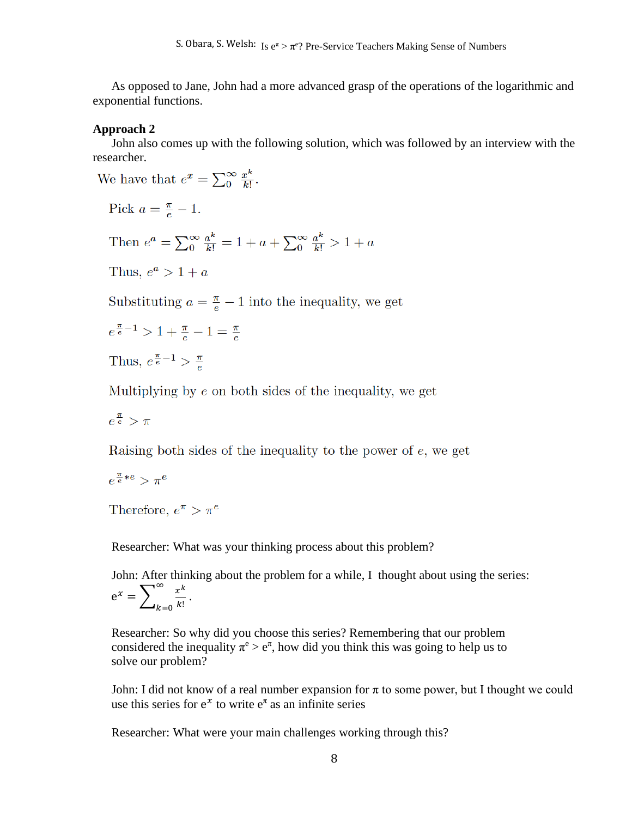As opposed to Jane, John had a more advanced grasp of the operations of the logarithmic and exponential functions.

#### **Approach 2**

John also comes up with the following solution, which was followed by an interview with the researcher.

We have that  $e^x = \sum_{n=0}^{\infty} \frac{x^k}{k!}$ .

Pick  $a = \frac{\pi}{e} - 1$ .

Then  $e^a = \sum_{0}^{\infty} \frac{a^k}{k!} = 1 + a + \sum_{0}^{\infty} \frac{a^k}{k!} > 1 + a$ 

Thus,  $e^a > 1 + a$ 

Substituting  $a = \frac{\pi}{e} - 1$  into the inequality, we get

$$
e^{\frac{\pi}{e}-1} > 1 + \frac{\pi}{e} - 1 = \frac{\pi}{e}
$$

Thus,  $e^{\frac{\pi}{e}-1} > \frac{\pi}{e}$ 

Multiplying by  $e$  on both sides of the inequality, we get

$$
e^{\frac{\pi}{e}} > \pi
$$

Raising both sides of the inequality to the power of  $e$ , we get

$$
e^{\frac{\pi}{e}*e} > \pi^e
$$

Therefore,  $e^{\pi} > \pi^e$ 

Researcher: What was your thinking process about this problem?

John: After thinking about the problem for a while, I thought about using the series:  $e^x = \sum_{k=0}^{\infty} \frac{x^k}{k!}$ ∞  $k=0$ .

Researcher: So why did you choose this series? Remembering that our problem considered the inequality  $\pi^e > e^{\pi}$ , how did you think this was going to help us to solve our problem?

John: I did not know of a real number expansion for  $\pi$  to some power, but I thought we could use this series for  $e^x$  to write  $e^{\pi}$  as an infinite series

Researcher: What were your main challenges working through this?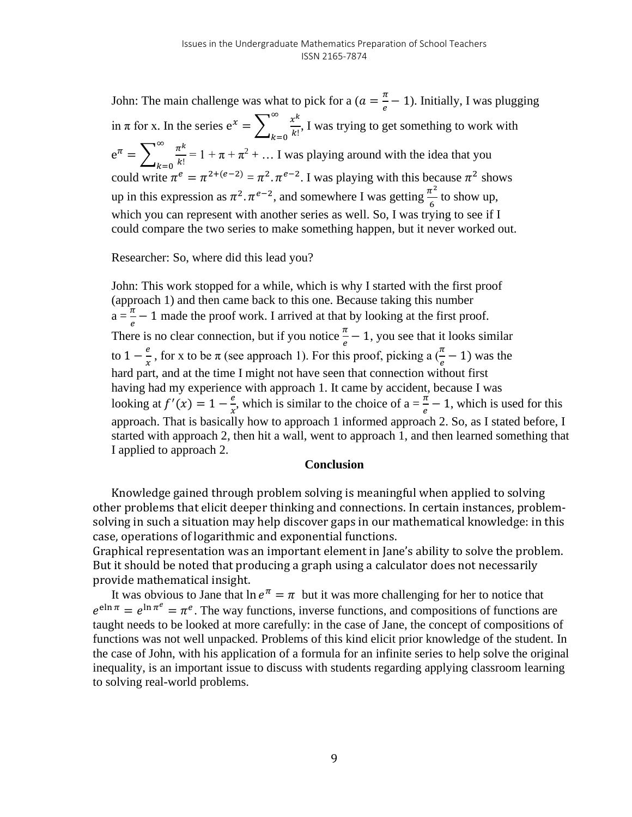John: The main challenge was what to pick for a  $(a = \frac{\pi}{e} - 1)$ . Initially, I was plugging in  $\pi$  for x. In the series  $e^x = \sum_{k=0}^{\infty} \frac{x^k}{k!}$ ∞  $k=0$ , I was trying to get something to work with  $e^{\pi} = \sum_{k=0}^{\infty} \frac{\pi^k}{k!}$ ∞  $k=0$  $= 1 + \pi + \pi^2 + \dots$  I was playing around with the idea that you could write  $\pi^e = \pi^{2+(e-2)} = \pi^2 \cdot \pi^{e-2}$ . I was playing with this because  $\pi^2$  shows up in this expression as  $\pi^2 \cdot \pi^{e-2}$ , and somewhere I was getting  $\frac{\pi^2}{6}$  to show up, which you can represent with another series as well. So, I was trying to see if I could compare the two series to make something happen, but it never worked out.

Researcher: So, where did this lead you?

John: This work stopped for a while, which is why I started with the first proof (approach 1) and then came back to this one. Because taking this number  $a = \frac{\pi}{e} - 1$  made the proof work. I arrived at that by looking at the first proof. There is no clear connection, but if you notice  $\frac{\pi}{e} - 1$ , you see that it looks similar to  $1 - \frac{e}{x}$ , for x to be  $\pi$  (see approach 1). For this proof, picking a  $(\frac{\pi}{e} - 1)$  was the hard part, and at the time I might not have seen that connection without first having had my experience with approach 1. It came by accident, because I was looking at  $f'(x) = 1 - \frac{e}{x}$ , which is similar to the choice of  $a = \frac{\pi}{e} - 1$ , which is used for this approach. That is basically how to approach 1 informed approach 2. So, as I stated before, I started with approach 2, then hit a wall, went to approach 1, and then learned something that I applied to approach 2.

### **Conclusion**

Knowledge gained through problem solving is meaningful when applied to solving other problems that elicit deeper thinking and connections. In certain instances, problemsolving in such a situation may help discover gaps in our mathematical knowledge: in this case, operations of logarithmic and exponential functions.

Graphical representation was an important element in Jane's ability to solve the problem. But it should be noted that producing a graph using a calculator does not necessarily provide mathematical insight.

It was obvious to Jane that  $\ln e^{\pi} = \pi$  but it was more challenging for her to notice that  $e^{\sin \pi} = e^{\ln \pi^e} = \pi^e$ . The way functions, inverse functions, and compositions of functions are taught needs to be looked at more carefully: in the case of Jane, the concept of compositions of functions was not well unpacked. Problems of this kind elicit prior knowledge of the student. In the case of John, with his application of a formula for an infinite series to help solve the original inequality, is an important issue to discuss with students regarding applying classroom learning to solving real-world problems.